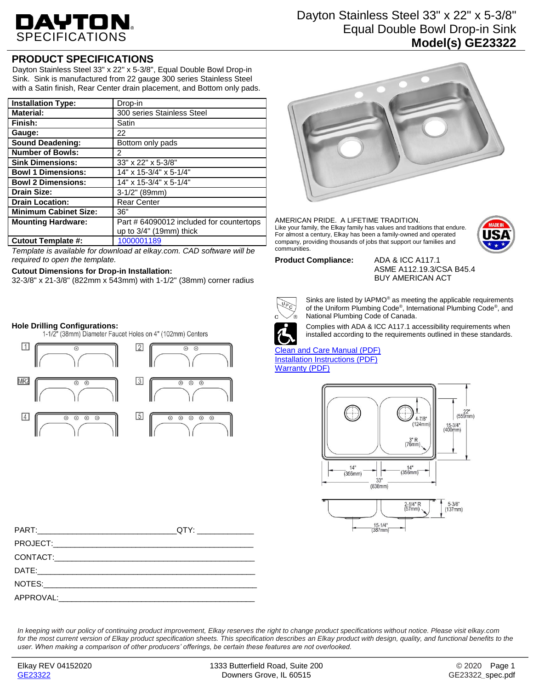# DAYTON.

# **PRODUCT SPECIFICATIONS**

Dayton Stainless Steel 33" x 22" x 5-3/8", Equal Double Bowl Drop-in Sink. Sink is manufactured from 22 gauge 300 series Stainless Steel with a Satin finish, Rear Center drain placement, and Bottom only pads.

| <b>Installation Type:</b>    | Drop-in                                  |
|------------------------------|------------------------------------------|
| <b>Material:</b>             | 300 series Stainless Steel               |
| Finish:                      | Satin                                    |
| Gauge:                       | 22                                       |
| <b>Sound Deadening:</b>      | Bottom only pads                         |
| <b>Number of Bowls:</b>      | 2                                        |
| <b>Sink Dimensions:</b>      | 33" x 22" x 5-3/8"                       |
| <b>Bowl 1 Dimensions:</b>    | 14" x 15-3/4" x 5-1/4"                   |
| <b>Bowl 2 Dimensions:</b>    | 14" x 15-3/4" x 5-1/4"                   |
| <b>Drain Size:</b>           | 3-1/2" (89mm)                            |
| <b>Drain Location:</b>       | <b>Rear Center</b>                       |
| <b>Minimum Cabinet Size:</b> | 36"                                      |
| <b>Mounting Hardware:</b>    | Part # 64090012 included for countertops |
|                              | up to $3/4$ " (19mm) thick               |
| <b>Cutout Template #:</b>    | 1000001189                               |

*Template is available for download at elkay.com. CAD software will be required to open the template.*

### **Cutout Dimensions for Drop-in Installation:**

32-3/8" x 21-3/8" (822mm x 543mm) with 1-1/2" (38mm) corner radius

**Hole Drilling Configurations:**



# Dayton Stainless Steel 33" x 22" x 5-3/8" Equal Double Bowl Drop-in Sink

# **Model(s) GE23322**



AMERICAN PRIDE. A LIFETIME TRADITION. Like your family, the Elkay family has values and traditions that endure. For almost a century, Elkay has been a family-owned and operated company, providing thousands of jobs that support our families and communities.



#### **Product Compliance:** ADA & ICC A117.1

ASME A112.19.3/CSA B45.4 BUY AMERICAN ACT



Sinks are listed by IAPMO® as meeting the applicable requirements of the Uniform Plumbing Code® , International Plumbing Code® , and National Plumbing Code of Canada.



Complies with ADA & ICC A117.1 accessibility requirements when installed according to the requirements outlined in these standards.

[Clean and Care Manual \(PDF\)](http://www.elkayfiles.com/care-cleaning-install-warranty-sheets/1000005386.pdf) [Installation Instructions \(PDF\)](http://www.elkayfiles.com/care-cleaning-install-warranty-sheets/1000005236.pdf) [Warranty](http://www.elkayfiles.com/care-cleaning-install-warranty-sheets/1000005130.pdf) (PDF)



*In keeping with our policy of continuing product improvement, Elkay reserves the right to change product specifications without notice. Please visit elkay.com*  for the most current version of Elkay product specification sheets. This specification describes an Elkay product with design, quality, and functional benefits to the *user. When making a comparison of other producers' offerings, be certain these features are not overlooked.*